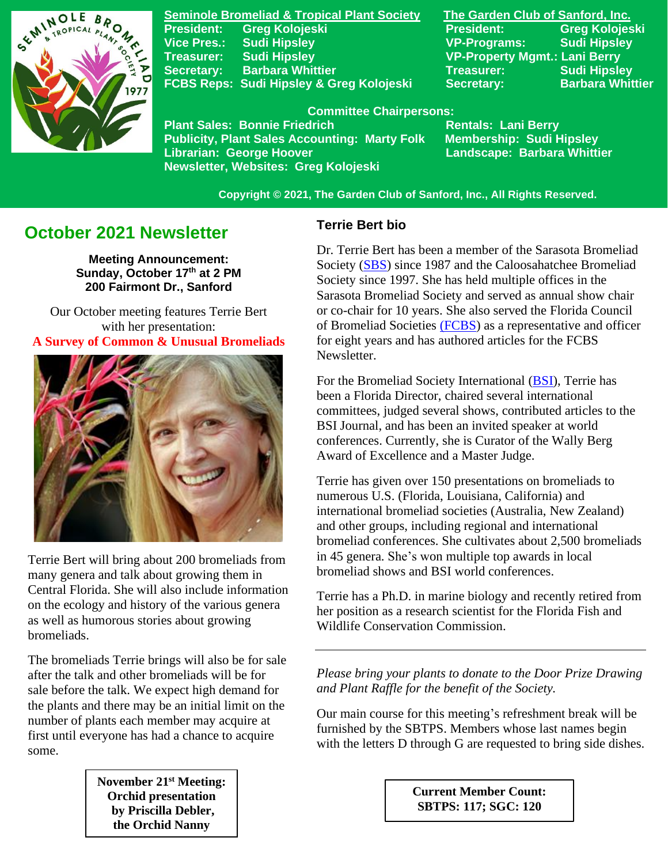

**Seminole Bromeliad & Tropical Plant Society The Garden Club of Sanford, Inc. Vice Pres.: Sudi Hipsley VP-Programs: Sudi Hipsley Treasurer: Sudi Hipsley VP-Property Mgmt.: Lani Berry Secretary:** Barbara Whittier **Network Treasurer:** Sudi Hipsley FCBS Reps: Sudi Hipsley & Greg Kolojeski Secretary: Barbara Whittier

**President: Greg Kolojeski President: Greg Kolojeski** 

 **Committee Chairpersons:**

Plant Sales: Bonnie Friedrich **Nentals: Lani Berry<br>Publicity, Plant Sales Accounting: Marty Folk Membership: Sudi Hipsley Publicity, Plant Sales Accounting: Marty Folk Librarian: George Hoover Landscape: Barbara Whittier Newsletter, Websites: Greg Kolojeski**

 **Copyright © 2021, The Garden Club of Sanford, Inc., All Rights Reserved.**

# **October 2021 Newsletter**

**Meeting Announcement: Sunday, October 17 th at 2 PM 200 Fairmont Dr., Sanford**

Our October meeting features Terrie Bert with her presentation: **A Survey of Common & Unusual Bromeliads**



Terrie Bert will bring about 200 bromeliads from many genera and talk about growing them in Central Florida. She will also include information on the ecology and history of the various genera as well as humorous stories about growing bromeliads.

The bromeliads Terrie brings will also be for sale after the talk and other bromeliads will be for sale before the talk. We expect high demand for the plants and there may be an initial limit on the number of plants each member may acquire at first until everyone has had a chance to acquire some.

> **November 21st Meeting: Orchid presentation by Priscilla Debler, the Orchid Nanny**

#### **Terrie Bert bio**

Dr. Terrie Bert has been a member of the Sarasota Bromeliad Society [\(SBS\)](https://sarasotabromeliadsociety.org/) since 1987 and the Caloosahatchee Bromeliad Society since 1997. She has held multiple offices in the Sarasota Bromeliad Society and served as annual show chair or co-chair for 10 years. She also served the Florida Council of Bromeliad Societies [\(FCBS\)](https://www.facebook.com/FloridaCouncilofBromeliadSocieties) as a representative and officer for eight years and has authored articles for the FCBS Newsletter.

For the Bromeliad Society International [\(BSI\)](https://www.bsi.org/), Terrie has been a Florida Director, chaired several international committees, judged several shows, contributed articles to the BSI Journal, and has been an invited speaker at world conferences. Currently, she is Curator of the Wally Berg Award of Excellence and a Master Judge.

Terrie has given over 150 presentations on bromeliads to numerous U.S. (Florida, Louisiana, California) and international bromeliad societies (Australia, New Zealand) and other groups, including regional and international bromeliad conferences. She cultivates about 2,500 bromeliads in 45 genera. She's won multiple top awards in local bromeliad shows and BSI world conferences.

Terrie has a Ph.D. in marine biology and recently retired from her position as a research scientist for the Florida Fish and Wildlife Conservation Commission.

*Please bring your plants to donate to the Door Prize Drawing and Plant Raffle for the benefit of the Society.*

Our main course for this meeting's refreshment break will be furnished by the SBTPS. Members whose last names begin with the letters D through G are requested to bring side dishes.

> **Current Member Count: SBTPS: 117; SGC: 120**